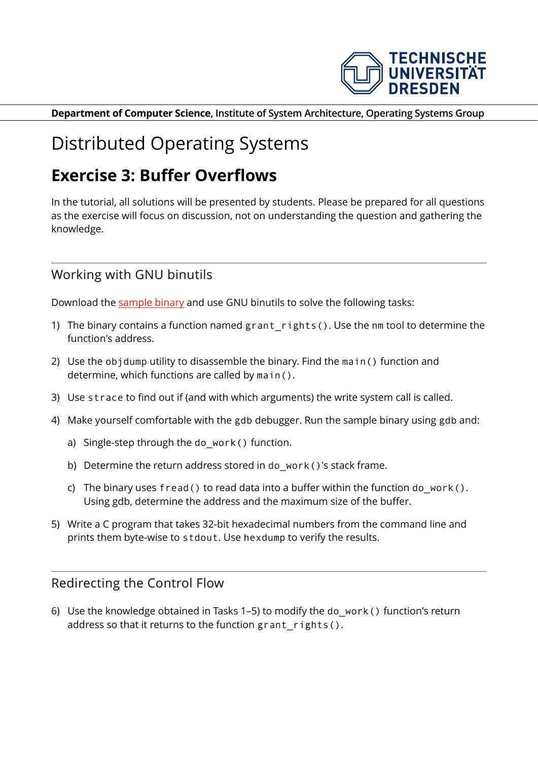

**Department of Computer Science, Institute of System Architecture, Operating Systems Group**

# Distributed Operating Systems

# **Exercise 3: Buffer Overflows**

In the tutorial, all solutions will be presented by students. Please be prepared for all questions as the exercise will focus on discussion, not on understanding the question and gathering the knowledge.

# Working with GNU binutils

Download the [sample binary](http://os.inf.tu-dresden.de/Studium/DOS/SS2020/overflows/smash1) and use GNU binutils to solve the following tasks:

- 1) The binary contains a function named grant rights(). Use the nm tool to determine the function's address.
- 2) Use the objdump utility to disassemble the binary. Find the main() function and determine, which functions are called by main().
- 3) Use strace to find out if (and with which arguments) the write system call is called.
- 4) Make yourself comfortable with the gdb debugger. Run the sample binary using gdb and:
	- a) Single-step through the do work() function.
	- b) Determine the return address stored in do\_work()'s stack frame.
	- c) The binary uses fread() to read data into a buffer within the function do work(). Using gdb, determine the address and the maximum size of the buffer.
- 5) Write a C program that takes 32-bit hexadecimal numbers from the command line and prints them byte-wise to stdout. Use hexdump to verify the results.

#### Redirecting the Control Flow

6) Use the knowledge obtained in Tasks 1–5) to modify the do\_work() function's return address so that it returns to the function grant rights().